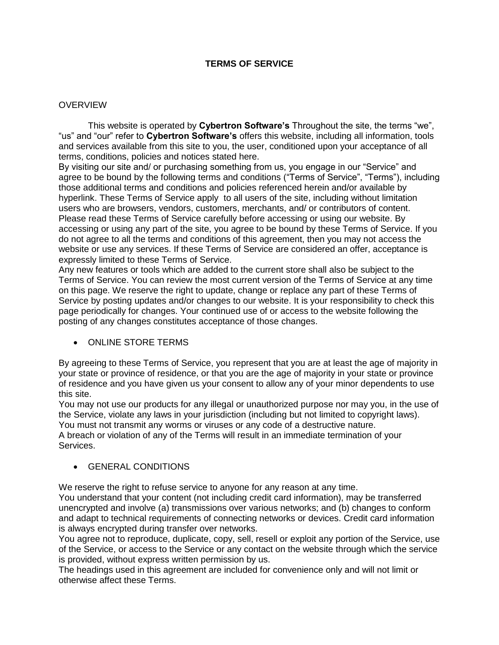#### **TERMS OF SERVICE**

#### OVERVIEW

This website is operated by **Cybertron Software's** Throughout the site, the terms "we", "us" and "our" refer to **Cybertron Software's** offers this website, including all information, tools and services available from this site to you, the user, conditioned upon your acceptance of all terms, conditions, policies and notices stated here.

By visiting our site and/ or purchasing something from us, you engage in our "Service" and agree to be bound by the following terms and conditions ("Terms of Service", "Terms"), including those additional terms and conditions and policies referenced herein and/or available by hyperlink. These Terms of Service apply to all users of the site, including without limitation users who are browsers, vendors, customers, merchants, and/ or contributors of content. Please read these Terms of Service carefully before accessing or using our website. By accessing or using any part of the site, you agree to be bound by these Terms of Service. If you do not agree to all the terms and conditions of this agreement, then you may not access the website or use any services. If these Terms of Service are considered an offer, acceptance is expressly limited to these Terms of Service.

Any new features or tools which are added to the current store shall also be subject to the Terms of Service. You can review the most current version of the Terms of Service at any time on this page. We reserve the right to update, change or replace any part of these Terms of Service by posting updates and/or changes to our website. It is your responsibility to check this page periodically for changes. Your continued use of or access to the website following the posting of any changes constitutes acceptance of those changes.

ONLINE STORE TERMS

By agreeing to these Terms of Service, you represent that you are at least the age of majority in your state or province of residence, or that you are the age of majority in your state or province of residence and you have given us your consent to allow any of your minor dependents to use this site.

You may not use our products for any illegal or unauthorized purpose nor may you, in the use of the Service, violate any laws in your jurisdiction (including but not limited to copyright laws). You must not transmit any worms or viruses or any code of a destructive nature.

A breach or violation of any of the Terms will result in an immediate termination of your Services.

GENERAL CONDITIONS

We reserve the right to refuse service to anyone for any reason at any time.

You understand that your content (not including credit card information), may be transferred unencrypted and involve (a) transmissions over various networks; and (b) changes to conform and adapt to technical requirements of connecting networks or devices. Credit card information is always encrypted during transfer over networks.

You agree not to reproduce, duplicate, copy, sell, resell or exploit any portion of the Service, use of the Service, or access to the Service or any contact on the website through which the service is provided, without express written permission by us.

The headings used in this agreement are included for convenience only and will not limit or otherwise affect these Terms.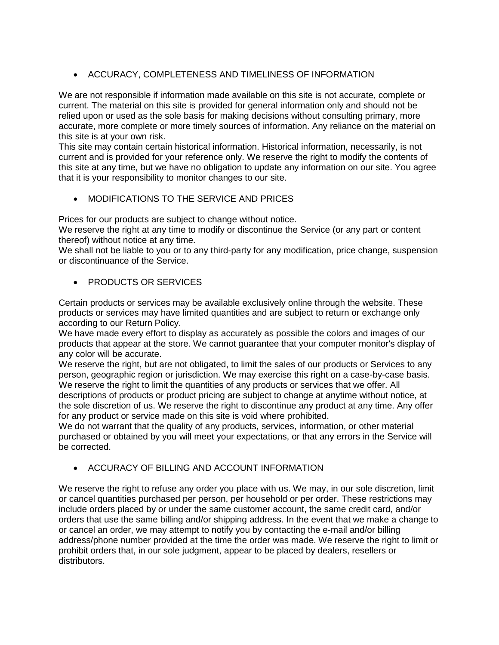# **• ACCURACY, COMPLETENESS AND TIMELINESS OF INFORMATION**

We are not responsible if information made available on this site is not accurate, complete or current. The material on this site is provided for general information only and should not be relied upon or used as the sole basis for making decisions without consulting primary, more accurate, more complete or more timely sources of information. Any reliance on the material on this site is at your own risk.

This site may contain certain historical information. Historical information, necessarily, is not current and is provided for your reference only. We reserve the right to modify the contents of this site at any time, but we have no obligation to update any information on our site. You agree that it is your responsibility to monitor changes to our site.

## MODIFICATIONS TO THE SERVICE AND PRICES

Prices for our products are subject to change without notice.

We reserve the right at any time to modify or discontinue the Service (or any part or content thereof) without notice at any time.

We shall not be liable to you or to any third-party for any modification, price change, suspension or discontinuance of the Service.

### • PRODUCTS OR SERVICES

Certain products or services may be available exclusively online through the website. These products or services may have limited quantities and are subject to return or exchange only according to our Return Policy.

We have made every effort to display as accurately as possible the colors and images of our products that appear at the store. We cannot guarantee that your computer monitor's display of any color will be accurate.

We reserve the right, but are not obligated, to limit the sales of our products or Services to any person, geographic region or jurisdiction. We may exercise this right on a case-by-case basis. We reserve the right to limit the quantities of any products or services that we offer. All descriptions of products or product pricing are subject to change at anytime without notice, at the sole discretion of us. We reserve the right to discontinue any product at any time. Any offer for any product or service made on this site is void where prohibited.

We do not warrant that the quality of any products, services, information, or other material purchased or obtained by you will meet your expectations, or that any errors in the Service will be corrected.

ACCURACY OF BILLING AND ACCOUNT INFORMATION

We reserve the right to refuse any order you place with us. We may, in our sole discretion, limit or cancel quantities purchased per person, per household or per order. These restrictions may include orders placed by or under the same customer account, the same credit card, and/or orders that use the same billing and/or shipping address. In the event that we make a change to or cancel an order, we may attempt to notify you by contacting the e-mail and/or billing address/phone number provided at the time the order was made. We reserve the right to limit or prohibit orders that, in our sole judgment, appear to be placed by dealers, resellers or distributors.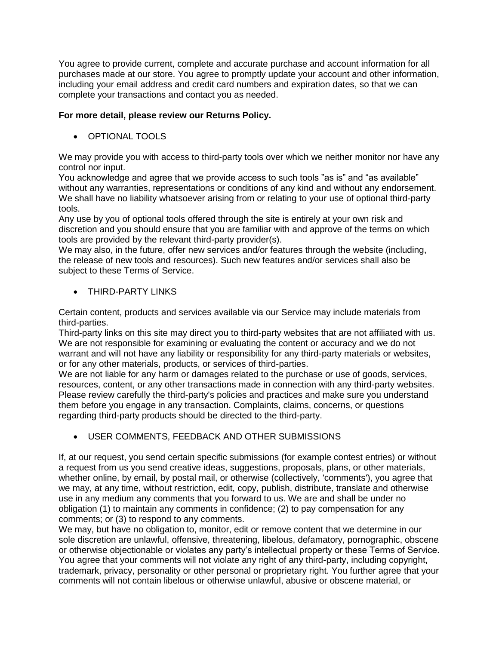You agree to provide current, complete and accurate purchase and account information for all purchases made at our store. You agree to promptly update your account and other information, including your email address and credit card numbers and expiration dates, so that we can complete your transactions and contact you as needed.

### **For more detail, please review our Returns Policy.**

OPTIONAL TOOLS

We may provide you with access to third-party tools over which we neither monitor nor have any control nor input.

You acknowledge and agree that we provide access to such tools "as is" and "as available" without any warranties, representations or conditions of any kind and without any endorsement. We shall have no liability whatsoever arising from or relating to your use of optional third-party tools.

Any use by you of optional tools offered through the site is entirely at your own risk and discretion and you should ensure that you are familiar with and approve of the terms on which tools are provided by the relevant third-party provider(s).

We may also, in the future, offer new services and/or features through the website (including, the release of new tools and resources). Such new features and/or services shall also be subject to these Terms of Service.

## THIRD-PARTY LINKS

Certain content, products and services available via our Service may include materials from third-parties.

Third-party links on this site may direct you to third-party websites that are not affiliated with us. We are not responsible for examining or evaluating the content or accuracy and we do not warrant and will not have any liability or responsibility for any third-party materials or websites, or for any other materials, products, or services of third-parties.

We are not liable for any harm or damages related to the purchase or use of goods, services, resources, content, or any other transactions made in connection with any third-party websites. Please review carefully the third-party's policies and practices and make sure you understand them before you engage in any transaction. Complaints, claims, concerns, or questions regarding third-party products should be directed to the third-party.

## USER COMMENTS, FEEDBACK AND OTHER SUBMISSIONS

If, at our request, you send certain specific submissions (for example contest entries) or without a request from us you send creative ideas, suggestions, proposals, plans, or other materials, whether online, by email, by postal mail, or otherwise (collectively, 'comments'), you agree that we may, at any time, without restriction, edit, copy, publish, distribute, translate and otherwise use in any medium any comments that you forward to us. We are and shall be under no obligation (1) to maintain any comments in confidence; (2) to pay compensation for any comments; or (3) to respond to any comments.

We may, but have no obligation to, monitor, edit or remove content that we determine in our sole discretion are unlawful, offensive, threatening, libelous, defamatory, pornographic, obscene or otherwise objectionable or violates any party's intellectual property or these Terms of Service. You agree that your comments will not violate any right of any third-party, including copyright, trademark, privacy, personality or other personal or proprietary right. You further agree that your comments will not contain libelous or otherwise unlawful, abusive or obscene material, or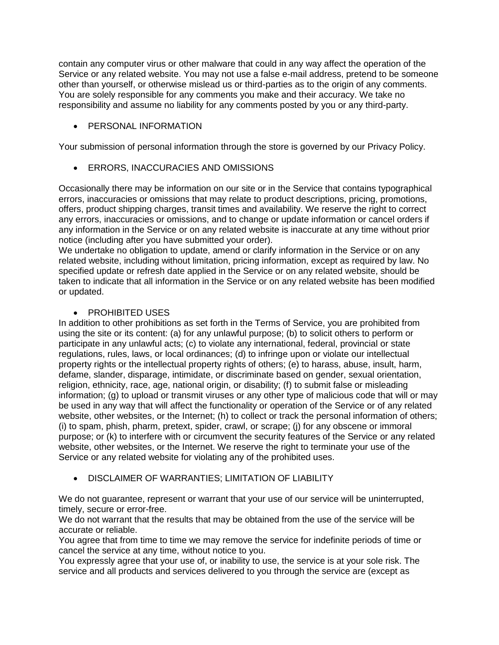contain any computer virus or other malware that could in any way affect the operation of the Service or any related website. You may not use a false e-mail address, pretend to be someone other than yourself, or otherwise mislead us or third-parties as to the origin of any comments. You are solely responsible for any comments you make and their accuracy. We take no responsibility and assume no liability for any comments posted by you or any third-party.

### PERSONAL INFORMATION

Your submission of personal information through the store is governed by our Privacy Policy.

ERRORS, INACCURACIES AND OMISSIONS

Occasionally there may be information on our site or in the Service that contains typographical errors, inaccuracies or omissions that may relate to product descriptions, pricing, promotions, offers, product shipping charges, transit times and availability. We reserve the right to correct any errors, inaccuracies or omissions, and to change or update information or cancel orders if any information in the Service or on any related website is inaccurate at any time without prior notice (including after you have submitted your order).

We undertake no obligation to update, amend or clarify information in the Service or on any related website, including without limitation, pricing information, except as required by law. No specified update or refresh date applied in the Service or on any related website, should be taken to indicate that all information in the Service or on any related website has been modified or updated.

#### PROHIBITED USES

In addition to other prohibitions as set forth in the Terms of Service, you are prohibited from using the site or its content: (a) for any unlawful purpose; (b) to solicit others to perform or participate in any unlawful acts; (c) to violate any international, federal, provincial or state regulations, rules, laws, or local ordinances; (d) to infringe upon or violate our intellectual property rights or the intellectual property rights of others; (e) to harass, abuse, insult, harm, defame, slander, disparage, intimidate, or discriminate based on gender, sexual orientation, religion, ethnicity, race, age, national origin, or disability; (f) to submit false or misleading information; (g) to upload or transmit viruses or any other type of malicious code that will or may be used in any way that will affect the functionality or operation of the Service or of any related website, other websites, or the Internet; (h) to collect or track the personal information of others; (i) to spam, phish, pharm, pretext, spider, crawl, or scrape; (j) for any obscene or immoral purpose; or (k) to interfere with or circumvent the security features of the Service or any related website, other websites, or the Internet. We reserve the right to terminate your use of the Service or any related website for violating any of the prohibited uses.

DISCLAIMER OF WARRANTIES; LIMITATION OF LIABILITY

We do not guarantee, represent or warrant that your use of our service will be uninterrupted, timely, secure or error-free.

We do not warrant that the results that may be obtained from the use of the service will be accurate or reliable.

You agree that from time to time we may remove the service for indefinite periods of time or cancel the service at any time, without notice to you.

You expressly agree that your use of, or inability to use, the service is at your sole risk. The service and all products and services delivered to you through the service are (except as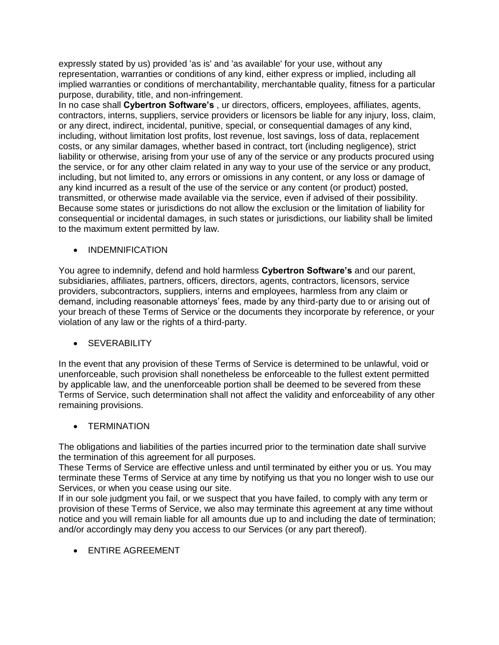expressly stated by us) provided 'as is' and 'as available' for your use, without any representation, warranties or conditions of any kind, either express or implied, including all implied warranties or conditions of merchantability, merchantable quality, fitness for a particular purpose, durability, title, and non-infringement.

In no case shall **Cybertron Software's** , ur directors, officers, employees, affiliates, agents, contractors, interns, suppliers, service providers or licensors be liable for any injury, loss, claim, or any direct, indirect, incidental, punitive, special, or consequential damages of any kind, including, without limitation lost profits, lost revenue, lost savings, loss of data, replacement costs, or any similar damages, whether based in contract, tort (including negligence), strict liability or otherwise, arising from your use of any of the service or any products procured using the service, or for any other claim related in any way to your use of the service or any product, including, but not limited to, any errors or omissions in any content, or any loss or damage of any kind incurred as a result of the use of the service or any content (or product) posted, transmitted, or otherwise made available via the service, even if advised of their possibility. Because some states or jurisdictions do not allow the exclusion or the limitation of liability for consequential or incidental damages, in such states or jurisdictions, our liability shall be limited to the maximum extent permitted by law.

• INDEMNIFICATION

You agree to indemnify, defend and hold harmless **Cybertron Software's** and our parent, subsidiaries, affiliates, partners, officers, directors, agents, contractors, licensors, service providers, subcontractors, suppliers, interns and employees, harmless from any claim or demand, including reasonable attorneys' fees, made by any third-party due to or arising out of your breach of these Terms of Service or the documents they incorporate by reference, or your violation of any law or the rights of a third-party.

#### • SEVERABILITY

In the event that any provision of these Terms of Service is determined to be unlawful, void or unenforceable, such provision shall nonetheless be enforceable to the fullest extent permitted by applicable law, and the unenforceable portion shall be deemed to be severed from these Terms of Service, such determination shall not affect the validity and enforceability of any other remaining provisions.

**• TERMINATION** 

The obligations and liabilities of the parties incurred prior to the termination date shall survive the termination of this agreement for all purposes.

These Terms of Service are effective unless and until terminated by either you or us. You may terminate these Terms of Service at any time by notifying us that you no longer wish to use our Services, or when you cease using our site.

If in our sole judgment you fail, or we suspect that you have failed, to comply with any term or provision of these Terms of Service, we also may terminate this agreement at any time without notice and you will remain liable for all amounts due up to and including the date of termination; and/or accordingly may deny you access to our Services (or any part thereof).

**• ENTIRE AGREEMENT**